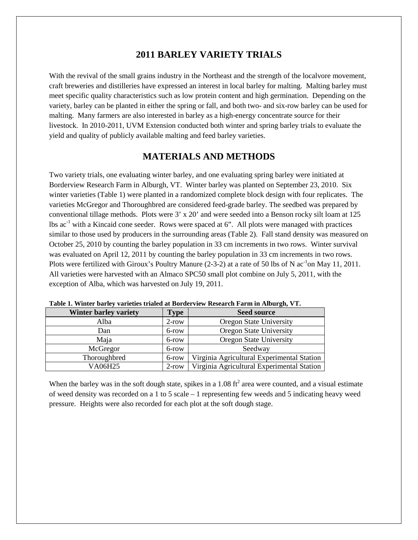### **2011 BARLEY VARIETY TRIALS**

With the revival of the small grains industry in the Northeast and the strength of the localvore movement, craft breweries and distilleries have expressed an interest in local barley for malting. Malting barley must meet specific quality characteristics such as low protein content and high germination. Depending on the variety, barley can be planted in either the spring or fall, and both two- and six-row barley can be used for malting. Many farmers are also interested in barley as a high-energy concentrate source for their livestock. In 2010-2011, UVM Extension conducted both winter and spring barley trials to evaluate the yield and quality of publicly available malting and feed barley varieties.

### **MATERIALS AND METHODS**

Two variety trials, one evaluating winter barley, and one evaluating spring barley were initiated at Borderview Research Farm in Alburgh, VT. Winter barley was planted on September 23, 2010. Six winter varieties (Table 1) were planted in a randomized complete block design with four replicates. The varieties McGregor and Thoroughbred are considered feed-grade barley. The seedbed was prepared by conventional tillage methods. Plots were 3' x 20' and were seeded into a Benson rocky silt loam at 125  $\text{lbs ac}^1$  with a Kincaid cone seeder. Rows were spaced at 6". All plots were managed with practices similar to those used by producers in the surrounding areas (Table 2). Fall stand density was measured on October 25, 2010 by counting the barley population in 33 cm increments in two rows. Winter survival was evaluated on April 12, 2011 by counting the barley population in 33 cm increments in two rows. Plots were fertilized with Giroux's Poultry Manure (2-3-2) at a rate of 50 lbs of N  $ac^{-1}$ on May 11, 2011. All varieties were harvested with an Almaco SPC50 small plot combine on July 5, 2011, with the exception of Alba, which was harvested on July 19, 2011.

| Table 1. White barrey varieties trialed at Doruci view Research Parin in Alburgii, V T. |             |                                            |  |  |  |  |  |  |
|-----------------------------------------------------------------------------------------|-------------|--------------------------------------------|--|--|--|--|--|--|
| Winter barley variety                                                                   | <b>Type</b> | <b>Seed source</b>                         |  |  |  |  |  |  |
| Alba                                                                                    | $2$ -row    | <b>Oregon State University</b>             |  |  |  |  |  |  |
| Dan                                                                                     | 6-row       | Oregon State University                    |  |  |  |  |  |  |
| Maja                                                                                    | 6-row       | Oregon State University                    |  |  |  |  |  |  |
| McGregor                                                                                | 6-row       | Seedway                                    |  |  |  |  |  |  |
| Thoroughbred                                                                            | 6-row       | Virginia Agricultural Experimental Station |  |  |  |  |  |  |
| VA06H25                                                                                 | $2$ -row    | Virginia Agricultural Experimental Station |  |  |  |  |  |  |

**Table 1. Winter barley varieties trialed at Borderview Research Farm in Alburgh, VT.**

When the barley was in the soft dough state, spikes in a  $1.08 \text{ ft}^2$  area were counted, and a visual estimate of weed density was recorded on a 1 to 5 scale – 1 representing few weeds and 5 indicating heavy weed pressure. Heights were also recorded for each plot at the soft dough stage.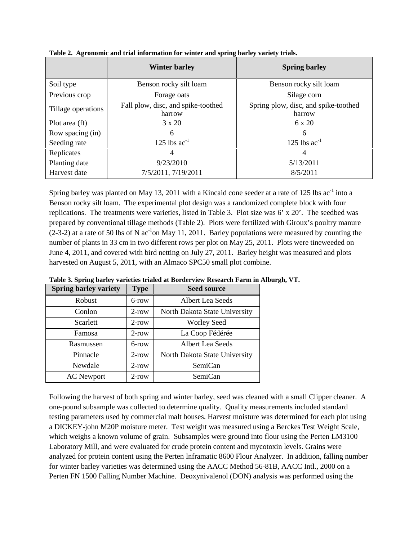|                    | <b>Winter barley</b>                         | <b>Spring barley</b>                           |
|--------------------|----------------------------------------------|------------------------------------------------|
| Soil type          | Benson rocky silt loam                       | Benson rocky silt loam                         |
| Previous crop      | Forage oats                                  | Silage corn                                    |
| Tillage operations | Fall plow, disc, and spike-toothed<br>harrow | Spring plow, disc, and spike-toothed<br>harrow |
| Plot area (ft)     | $3 \times 20$                                | $6 \times 20$                                  |
| Row spacing (in)   | 6                                            | 6                                              |
| Seeding rate       | 125 lbs $ac^{-1}$                            | 125 lbs $ac^{-1}$                              |
| Replicates         | 4                                            | 4                                              |
| Planting date      | 9/23/2010                                    | 5/13/2011                                      |
| Harvest date       | 7/5/2011, 7/19/2011                          | 8/5/2011                                       |

**Table 2. Agronomic and trial information for winter and spring barley variety trials.**

Spring barley was planted on May 13, 2011 with a Kincaid cone seeder at a rate of 125 lbs  $ac<sup>-1</sup>$  into a Benson rocky silt loam. The experimental plot design was a randomized complete block with four replications. The treatments were varieties, listed in Table 3. Plot size was 6' x 20'. The seedbed was prepared by conventional tillage methods (Table 2). Plots were fertilized with Giroux's poultry manure  $(2-3-2)$  at a rate of 50 lbs of N ac<sup>-1</sup>on May 11, 2011. Barley populations were measured by counting the number of plants in 33 cm in two different rows per plot on May 25, 2011. Plots were tineweeded on June 4, 2011, and covered with bird netting on July 27, 2011. Barley height was measured and plots harvested on August 5, 2011, with an Almaco SPC50 small plot combine.

|                              |             | Table 3. Spring barley varieties trialed at Borderview Research Farm in Alburgh, VT. |  |
|------------------------------|-------------|--------------------------------------------------------------------------------------|--|
| <b>Spring barley variety</b> | <b>Type</b> | <b>Seed source</b>                                                                   |  |

| <b>Spring barley variety</b> | <b>Type</b> | <b>Seed source</b>            |
|------------------------------|-------------|-------------------------------|
| Robust                       | 6-row       | Albert Lea Seeds              |
| Conlon                       | $2$ -row    | North Dakota State University |
| Scarlett                     | $2$ -row    | <b>Worley Seed</b>            |
| Famosa                       | $2$ -row    | La Coop Fédérée               |
| Rasmussen                    | 6-row       | Albert Lea Seeds              |
| Pinnacle                     | $2$ -row    | North Dakota State University |
| Newdale                      | $2$ -row    | SemiCan                       |
| <b>AC</b> Newport            | $2$ -row    | SemiCan                       |

Following the harvest of both spring and winter barley, seed was cleaned with a small Clipper cleaner. A one-pound subsample was collected to determine quality. Quality measurements included standard testing parameters used by commercial malt houses. Harvest moisture was determined for each plot using a DICKEY-john M20P moisture meter. Test weight was measured using a Berckes Test Weight Scale, which weighs a known volume of grain. Subsamples were ground into flour using the Perten LM3100 Laboratory Mill, and were evaluated for crude protein content and mycotoxin levels. Grains were analyzed for protein content using the Perten Inframatic 8600 Flour Analyzer. In addition, falling number for winter barley varieties was determined using the AACC Method 56-81B, AACC Intl., 2000 on a Perten FN 1500 Falling Number Machine. Deoxynivalenol (DON) analysis was performed using the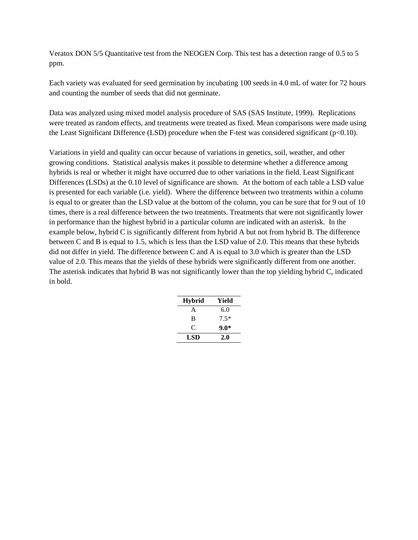Veratox DON 5/5 Quantitative test from the NEOGEN Corp. This test has a detection range of 0.5 to 5 ppm.

Each variety was evaluated for seed germination by incubating 100 seeds in 4.0 mL of water for 72 hours and counting the number of seeds that did not germinate.

Data was analyzed using mixed model analysis procedure of SAS (SAS Institute, 1999). Replications were treated as random effects, and treatments were treated as fixed. Mean comparisons were made using the Least Significant Difference (LSD) procedure when the F-test was considered significant ( $p<0.10$ ).

Variations in yield and quality can occur because of variations in genetics, soil, weather, and other growing conditions. Statistical analysis makes it possible to determine whether a difference among hybrids is real or whether it might have occurred due to other variations in the field. Least Significant Differences (LSDs) at the 0.10 level of significance are shown. At the bottom of each table a LSD value is presented for each variable (i.e. yield). Where the difference between two treatments within a column is equal to or greater than the LSD value at the bottom of the column, you can be sure that for 9 out of 10 times, there is a real difference between the two treatments. Treatments that were not significantly lower in performance than the highest hybrid in a particular column are indicated with an asterisk. In the example below, hybrid C is significantly different from hybrid A but not from hybrid B. The difference between C and B is equal to 1.5, which is less than the LSD value of 2.0. This means that these hybrids did not differ in yield. The difference between C and A is equal to 3.0 which is greater than the LSD value of 2.0. This means that the yields of these hybrids were significantly different from one another. The asterisk indicates that hybrid B was not significantly lower than the top yielding hybrid C, indicated in bold.

| <b>Hybrid</b> | Yield  |
|---------------|--------|
| A             | 6.0    |
| B             | $7.5*$ |
| C             | $9.0*$ |
| LSD           | 2.0    |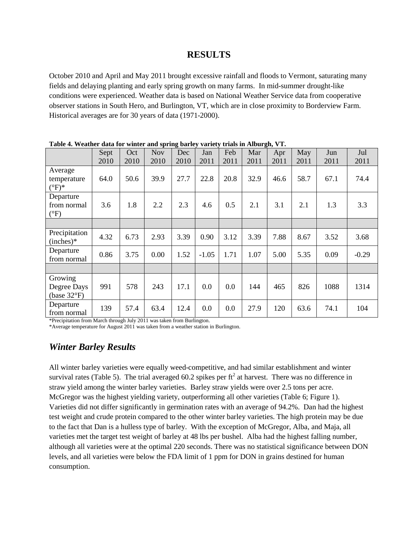#### **RESULTS**

October 2010 and April and May 2011 brought excessive rainfall and floods to Vermont, saturating many fields and delaying planting and early spring growth on many farms. In mid-summer drought-like conditions were experienced. Weather data is based on National Weather Service data from cooperative observer stations in South Hero, and Burlington, VT, which are in close proximity to Borderview Farm. Historical averages are for 30 years of data (1971-2000).

|                                                 | Sept<br>2010 | Oct<br>2010 | <b>Nov</b><br>2010 | Dec<br>2010 | Jan<br>2011 | Feb<br>2011 | Mar<br>2011 | Apr<br>2011 | May<br>2011 | Jun<br>2011 | Jul<br>2011 |
|-------------------------------------------------|--------------|-------------|--------------------|-------------|-------------|-------------|-------------|-------------|-------------|-------------|-------------|
| Average<br>temperature<br>$(^{\circ}F)^*$       | 64.0         | 50.6        | 39.9               | 27.7        | 22.8        | 20.8        | 32.9        | 46.6        | 58.7        | 67.1        | 74.4        |
| Departure<br>from normal<br>$(^{\circ}F)$       | 3.6          | 1.8         | 2.2                | 2.3         | 4.6         | 0.5         | 2.1         | 3.1         | 2.1         | 1.3         | 3.3         |
|                                                 |              |             |                    |             |             |             |             |             |             |             |             |
| Precipitation<br>$(inches)*$                    | 4.32         | 6.73        | 2.93               | 3.39        | 0.90        | 3.12        | 3.39        | 7.88        | 8.67        | 3.52        | 3.68        |
| Departure<br>from normal                        | 0.86         | 3.75        | 0.00               | 1.52        | $-1.05$     | 1.71        | 1.07        | 5.00        | 5.35        | 0.09        | $-0.29$     |
|                                                 |              |             |                    |             |             |             |             |             |             |             |             |
| Growing<br>Degree Days<br>(base $32^{\circ}F$ ) | 991          | 578         | 243                | 17.1        | 0.0         | 0.0         | 144         | 465         | 826         | 1088        | 1314        |
| Departure<br>from normal                        | 139          | 57.4        | 63.4               | 12.4        | 0.0         | 0.0         | 27.9        | 120         | 63.6        | 74.1        | 104         |

**Table 4. Weather data for winter and spring barley variety trials in Alburgh, VT.**

\*Precipitation from March through July 2011 was taken from Burlington.

\*Average temperature for August 2011 was taken from a weather station in Burlington.

# *Winter Barley Results*

All winter barley varieties were equally weed-competitive, and had similar establishment and winter survival rates (Table 5). The trial averaged 60.2 spikes per  $ft<sup>2</sup>$  at harvest. There was no difference in straw yield among the winter barley varieties. Barley straw yields were over 2.5 tons per acre. McGregor was the highest yielding variety, outperforming all other varieties (Table 6; Figure 1). Varieties did not differ significantly in germination rates with an average of 94.2%. Dan had the highest test weight and crude protein compared to the other winter barley varieties. The high protein may be due to the fact that Dan is a hulless type of barley. With the exception of McGregor, Alba, and Maja, all varieties met the target test weight of barley at 48 lbs per bushel. Alba had the highest falling number, although all varieties were at the optimal 220 seconds. There was no statistical significance between DON levels, and all varieties were below the FDA limit of 1 ppm for DON in grains destined for human consumption.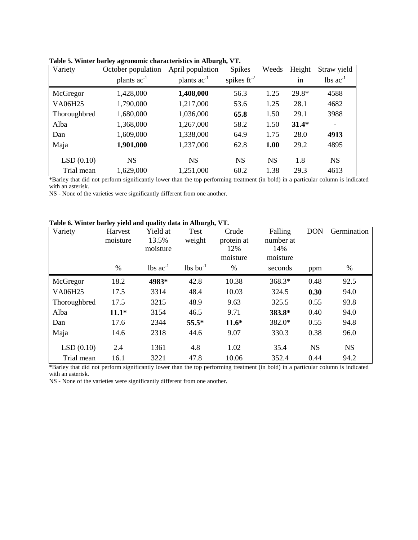| Variety      | October population | April population |                  | Weeds     | Height  | Straw yield                   |
|--------------|--------------------|------------------|------------------|-----------|---------|-------------------------------|
|              | plants $ac^{-1}$   | plants $ac^{-1}$ | spikes $ft^{-2}$ |           | in      | $\text{ lbs } \text{ac}^{-1}$ |
| McGregor     | 1,428,000          | 1,408,000        | 56.3             | 1.25      | $29.8*$ | 4588                          |
| VA06H25      | 1,790,000          | 1,217,000        | 53.6             | 1.25      | 28.1    | 4682                          |
| Thoroughbred | 1,680,000          | 1,036,000        | 65.8             | 1.50      | 29.1    | 3988                          |
| Alba         | 1,368,000          | 1,267,000        | 58.2             | 1.50      | $31.4*$ | ۰                             |
| Dan          | 1,609,000          | 1,338,000        | 64.9             | 1.75      | 28.0    | 4913                          |
| Maja         | 1,901,000          | 1,237,000        | 62.8             | 1.00      | 29.2    | 4895                          |
| LSD(0.10)    | <b>NS</b>          | <b>NS</b>        | <b>NS</b>        | <b>NS</b> | 1.8     | <b>NS</b>                     |
| Trial mean   | 1,629,000          | 1,251,000        | 60.2             | 1.38      | 29.3    | 4613                          |

**Table 5. Winter barley agronomic characteristics in Alburgh, VT.**

\*Barley that did not perform significantly lower than the top performing treatment (in bold) in a particular column is indicated with an asterisk.

NS - None of the varieties were significantly different from one another.

|--|

| Variety        | Harvest       | Yield at                      | Test                          | Crude         | Falling  | <b>DON</b> | Germination |
|----------------|---------------|-------------------------------|-------------------------------|---------------|----------|------------|-------------|
|                | moisture      | 13.5%                         | weight                        | protein at    |          |            |             |
|                |               | moisture                      |                               | 12%           | 14%      |            |             |
|                |               |                               |                               | moisture      | moisture |            |             |
|                | $\frac{0}{0}$ | $\text{lbs}$ ac <sup>-1</sup> | $\text{lbs}$ bu <sup>-1</sup> | $\frac{0}{0}$ | seconds  | ppm        | %           |
| McGregor       | 18.2          | 4983*                         | 42.8                          | 10.38         | 368.3*   | 0.48       | 92.5        |
| <b>VA06H25</b> | 17.5          | 3314                          | 48.4                          | 10.03         | 324.5    | 0.30       | 94.0        |
| Thoroughbred   | 17.5          | 3215                          | 48.9                          | 9.63          | 325.5    | 0.55       | 93.8        |
| Alba           | $11.1*$       | 3154                          | 46.5                          | 9.71          | 383.8*   | 0.40       | 94.0        |
| Dan            | 17.6          | 2344                          | 55.5*                         | $11.6*$       | 382.0*   | 0.55       | 94.8        |
| Maja           | 14.6          | 2318                          | 44.6                          | 9.07          | 330.3    | 0.38       | 96.0        |
| LSD(0.10)      | 2.4           | 1361                          | 4.8                           | 1.02          | 35.4     | <b>NS</b>  | <b>NS</b>   |
| Trial mean     | 16.1          | 3221                          | 47.8                          | 10.06         | 352.4    | 0.44       | 94.2        |

\*Barley that did not perform significantly lower than the top performing treatment (in bold) in a particular column is indicated with an asterisk.

NS - None of the varieties were significantly different from one another.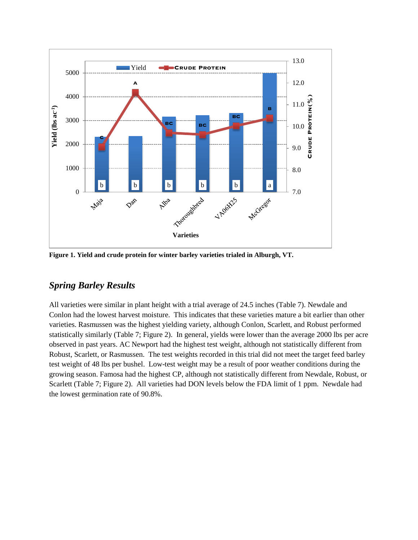

**Figure 1. Yield and crude protein for winter barley varieties trialed in Alburgh, VT.**

### *Spring Barley Results*

All varieties were similar in plant height with a trial average of 24.5 inches (Table 7). Newdale and Conlon had the lowest harvest moisture. This indicates that these varieties mature a bit earlier than other varieties. Rasmussen was the highest yielding variety, although Conlon, Scarlett, and Robust performed statistically similarly (Table 7; Figure 2). In general, yields were lower than the average 2000 lbs per acre observed in past years. AC Newport had the highest test weight, although not statistically different from Robust, Scarlett, or Rasmussen. The test weights recorded in this trial did not meet the target feed barley test weight of 48 lbs per bushel. Low-test weight may be a result of poor weather conditions during the growing season. Famosa had the highest CP, although not statistically different from Newdale, Robust, or Scarlett (Table 7; Figure 2). All varieties had DON levels below the FDA limit of 1 ppm. Newdale had the lowest germination rate of 90.8%.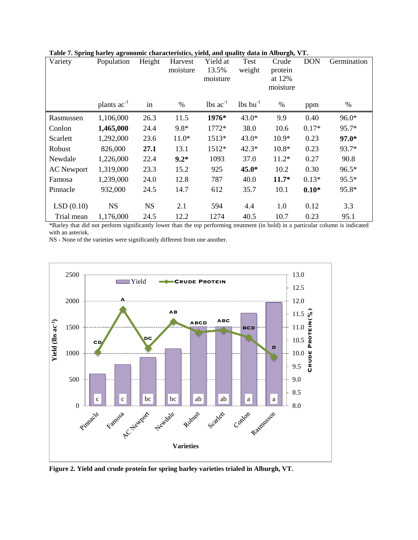| Variety           | Population       | Height    | Harvest<br>moisture | Yield at<br>13.5%<br>moisture | Test<br>weight         | Crude<br>protein<br>at 12%<br>moisture | <b>DON</b> | Germination |
|-------------------|------------------|-----------|---------------------|-------------------------------|------------------------|----------------------------------------|------------|-------------|
|                   | plants $ac^{-1}$ | in        | $\%$                | $\text{lbs}$ ac <sup>-1</sup> | $lbs$ bu <sup>-1</sup> | $\%$                                   | ppm        | $\%$        |
| Rasmussen         | 1,106,000        | 26.3      | 11.5                | 1976*                         | $43.0*$                | 9.9                                    | 0.40       | 96.0*       |
| Conlon            | 1,465,000        | 24.4      | $9.8*$              | $1772*$                       | 38.0                   | 10.6                                   | $0.17*$    | 95.7*       |
| Scarlett          | 1,292,000        | 23.6      | $11.0*$             | $1513*$                       | $43.0*$                | $10.9*$                                | 0.23       | $97.0*$     |
| Robust            | 826,000          | 27.1      | 13.1                | 1512*                         | $42.3*$                | $10.8*$                                | 0.23       | 93.7*       |
| Newdale           | 1,226,000        | 22.4      | $9.2*$              | 1093                          | 37.0                   | $11.2*$                                | 0.27       | 90.8        |
| <b>AC</b> Newport | 1,319,000        | 23.3      | 15.2                | 925                           | 45.0*                  | 10.2                                   | 0.30       | $96.5*$     |
| Famosa            | 1,239,000        | 24.0      | 12.8                | 787                           | 40.0                   | $11.7*$                                | $0.13*$    | $95.5*$     |
| Pinnacle          | 932,000          | 24.5      | 14.7                | 612                           | 35.7                   | 10.1                                   | $0.10*$    | 95.8*       |
| LSD(0.10)         | <b>NS</b>        | <b>NS</b> | 2.1                 | 594                           | 4.4                    | 1.0                                    | 0.12       | 3.3         |
| Trial mean        | 1,176,000        | 24.5      | 12.2                | 1274                          | 40.5                   | 10.7                                   | 0.23       | 95.1        |

**Table 7. Spring barley agronomic characteristics, yield, and quality data in Alburgh, VT.**

\*Barley that did not perform significantly lower than the top performing treatment (in bold) in a particular column is indicated with an asterisk.

NS - None of the varieties were significantly different from one another.



**Figure 2. Yield and crude protein for spring barley varieties trialed in Alburgh, VT.**